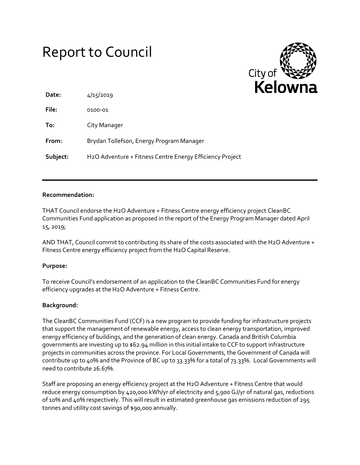# Report to Council



| Date:    | 4/15/2019                                                             |
|----------|-----------------------------------------------------------------------|
| File:    | 0100-01                                                               |
| To:      | City Manager                                                          |
| From:    | Brydan Tollefson, Energy Program Manager                              |
| Subject: | H <sub>2</sub> O Adventure + Fitness Centre Energy Efficiency Project |

#### **Recommendation:**

THAT Council endorse the H2O Adventure + Fitness Centre energy efficiency project CleanBC Communities Fund application as proposed in the report of the Energy Program Manager dated April 15, 2019;

AND THAT, Council commit to contributing its share of the costs associated with the H2O Adventure + Fitness Centre energy efficiency project from the H2O Capital Reserve.

### **Purpose:**

To receive Council's endorsement of an application to the CleanBC Communities Fund for energy efficiency upgrades at the H2O Adventure + Fitness Centre.

#### **Background:**

The CleanBC Communities Fund (CCF) is a new program to provide funding for infrastructure projects that support the management of renewable energy, access to clean energy transportation, improved energy efficiency of buildings, and the generation of clean energy. Canada and British Columbia governments are investing up to \$62.94 million in this initial intake to CCF to support infrastructure projects in communities across the province. For Local Governments, the Government of Canada will contribute up to 40% and the Province of BC up to 33.33% for a total of 73.33%. Local Governments will need to contribute 26.67%.

Staff are proposing an energy efficiency project at the H2O Adventure + Fitness Centre that would reduce energy consumption by 420,000 kWh/yr of electricity and 5,900 GJ/yr of natural gas, reductions of 10% and 40% respectively. This will result in estimated greenhouse gas emissions reduction of 295 tonnes and utility cost savings of \$90,000 annually.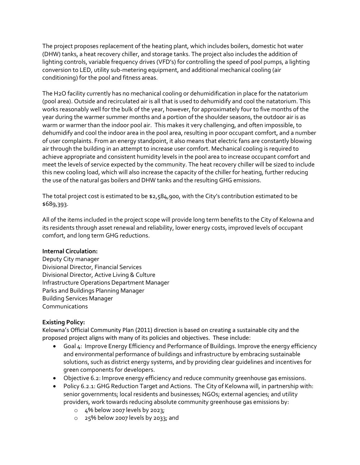The project proposes replacement of the heating plant, which includes boilers, domestic hot water (DHW) tanks, a heat recovery chiller, and storage tanks. The project also includes the addition of lighting controls, variable frequency drives (VFD's) for controlling the speed of pool pumps, a lighting conversion to LED, utility sub-metering equipment, and additional mechanical cooling (air conditioning) for the pool and fitness areas.

The H2O facility currently has no mechanical cooling or dehumidification in place for the natatorium (pool area). Outside and recirculated air is all that is used to dehumidify and cool the natatorium. This works reasonably well for the bulk of the year, however, for approximately four to five months of the year during the warmer summer months and a portion of the shoulder seasons, the outdoor air is as warm or warmer than the indoor pool air. This makes it very challenging, and often impossible, to dehumidify and cool the indoor area in the pool area, resulting in poor occupant comfort, and a number of user complaints. From an energy standpoint, it also means that electric fans are constantly blowing air through the building in an attempt to increase user comfort. Mechanical cooling is required to achieve appropriate and consistent humidity levels in the pool area to increase occupant comfort and meet the levels of service expected by the community. The heat recovery chiller will be sized to include this new cooling load, which will also increase the capacity of the chiller for heating, further reducing the use of the natural gas boilers and DHW tanks and the resulting GHG emissions.

The total project cost is estimated to be \$2,584,900, with the City's contribution estimated to be \$689,393.

All 0f the items included in the project scope will provide long term benefits to the City of Kelowna and its residents through asset renewal and reliability, lower energy costs, improved levels of occupant comfort, and long term GHG reductions.

### **Internal Circulation:**

Deputy City manager Divisional Director, Financial Services Divisional Director, Active Living & Culture Infrastructure Operations Department Manager Parks and Buildings Planning Manager Building Services Manager Communications

### **Existing Policy:**

Kelowna's Official Community Plan (2011) direction is based on creating a sustainable city and the proposed project aligns with many of its policies and objectives. These include:

- Goal 4: Improve Energy Efficiency and Performance of Buildings. Improve the energy efficiency and environmental performance of buildings and infrastructure by embracing sustainable solutions, such as district energy systems, and by providing clear guidelines and incentives for green components for developers.
- Objective 6.2: Improve energy efficiency and reduce community greenhouse gas emissions.
- Policy 6.2.1: GHG Reduction Target and Actions. The City of Kelowna will, in partnership with: senior governments; local residents and businesses; NGOs; external agencies; and utility providers, work towards reducing absolute community greenhouse gas emissions by:
	- o 4% below 2007 levels by 2023;
	- o 25% below 2007 levels by 2033; and